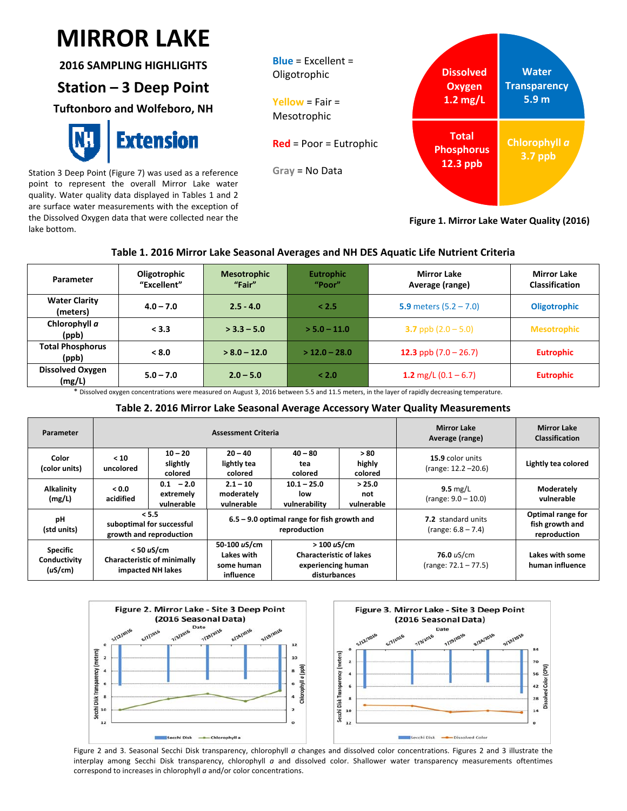## $\mathbf{I}$ **MIRROR LAKE**

**2016 SAMPLING HIGHLIGHTS**

## **Station – 3 Deep Point**

**Tuftonboro and Wolfeboro, NH**



Station 3 Deep Point (Figure 7) was used as a reference point to represent the overall Mirror Lake water quality. Water quality data displayed in Tables 1 and 2 are surface water measurements with the exception of the Dissolved Oxygen data that were collected near the lake bottom.



**Figure 1. Mirror Lake Water Quality (2016)**

### **Table 1. 2016 Mirror Lake Seasonal Averages and NH DES Aquatic Life Nutrient Criteria**

| Parameter                         | Oligotrophic<br>"Excellent" | <b>Mesotrophic</b><br>"Fair" | <b>Mirror Lake</b><br><b>Eutrophic</b><br>"Poor"<br>Average (range) |                          | <b>Mirror Lake</b><br><b>Classification</b> |
|-----------------------------------|-----------------------------|------------------------------|---------------------------------------------------------------------|--------------------------|---------------------------------------------|
| <b>Water Clarity</b><br>(meters)  | $4.0 - 7.0$                 | $2.5 - 4.0$                  | < 2.5                                                               | 5.9 meters $(5.2 - 7.0)$ |                                             |
| Chlorophyll a<br>(ppb)            | < 3.3                       | $>$ 3.3 – 5.0                | $> 5.0 - 11.0$                                                      | 3.7 ppb $(2.0 - 5.0)$    | <b>Mesotrophic</b>                          |
| <b>Total Phosphorus</b><br>(ppb)  | < 8.0                       | $> 8.0 - 12.0$               | $>$ 12.0 – 28.0                                                     | 12.3 ppb $(7.0 – 26.7)$  | <b>Eutrophic</b>                            |
| <b>Dissolved Oxygen</b><br>(mg/L) | $5.0 - 7.0$                 | $2.0 - 5.0$                  | < 2.0                                                               | 1.2 mg/L $(0.1 - 6.7)$   | <b>Eutrophic</b>                            |

\* Dissolved oxygen concentrations were measured on August 3, 2016 between 5.5 and 11.5 meters, in the layer of rapidly decreasing temperature.

#### **Table 2. 2016 Mirror Lake Seasonal Average Accessory Water Quality Measurements**

| Parameter                                  |                                                                         |                                        | <b>Assessment Criteria</b>                                    | <b>Mirror Lake</b><br>Average (range)                                               | <b>Mirror Lake</b><br><b>Classification</b> |                                                   |                                                      |
|--------------------------------------------|-------------------------------------------------------------------------|----------------------------------------|---------------------------------------------------------------|-------------------------------------------------------------------------------------|---------------------------------------------|---------------------------------------------------|------------------------------------------------------|
| Color<br>(color units)                     | < 10<br>uncolored                                                       | $10 - 20$<br>slightly<br>colored       | $20 - 40$<br>lightly tea<br>colored                           | $40 - 80$<br>tea<br>colored                                                         | >80<br>highly<br>colored                    | 15.9 color units<br>$(range: 12.2 - 20.6)$        | Lightly tea colored                                  |
| <b>Alkalinity</b><br>(mg/L)                | 0.0 <sub>2</sub><br>acidified                                           | $0.1 - 2.0$<br>extremely<br>vulnerable | $2.1 - 10$<br>moderately<br>vulnerable                        | $10.1 - 25.0$<br>low<br>vulnerability                                               | > 25.0<br>not<br>vulnerable                 | $9.5 \text{ mg/L}$<br>$(range: 9.0 - 10.0)$       | Moderately<br>vulnerable                             |
| pH<br>(std units)                          | < 5.5<br>suboptimal for successful<br>growth and reproduction           |                                        | $6.5 - 9.0$ optimal range for fish growth and<br>reproduction |                                                                                     |                                             | <b>7.2</b> standard units<br>$(range: 6.8 - 7.4)$ | Optimal range for<br>fish growth and<br>reproduction |
| <b>Specific</b><br>Conductivity<br>(uS/cm) | $<$ 50 uS/cm<br><b>Characteristic of minimally</b><br>impacted NH lakes |                                        | 50-100 uS/cm<br>Lakes with<br>some human<br>influence         | > 100 uS/cm<br><b>Characteristic of lakes</b><br>experiencing human<br>disturbances |                                             | 76.0 uS/cm<br>$(range: 72.1 - 77.5)$              | Lakes with some<br>human influence                   |



Figure 2 and 3. Seasonal Secchi Disk transparency, chlorophyll *a* changes and dissolved color concentrations. Figures 2 and 3 illustrate the interplay among Secchi Disk transparency, chlorophyll *a* and dissolved color. Shallower water transparency measurements oftentimes correspond to increases in chlorophyll *a* and/or color concentrations.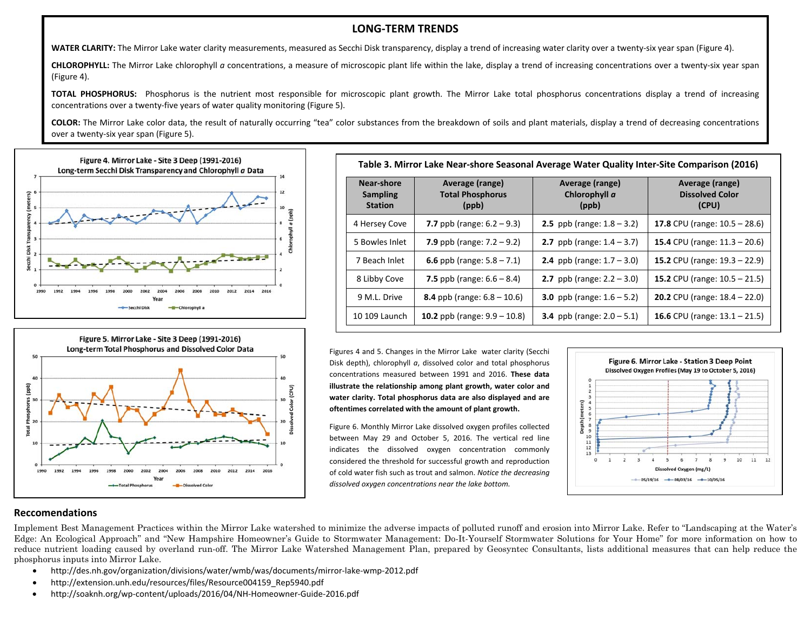#### **LONG‐TERM TRENDS**

**WATER CLARITY:** The Mirror Lake water clarity measurements, measured as Secchi Disk transparency, display <sup>a</sup> trend of increasing water clarity over <sup>a</sup> twenty‐six year span (Figure 4).

**CHLOROPHYLL:** The Mirror Lake chlorophyll *<sup>a</sup>* concentrations, <sup>a</sup> measure of microscopic plant life within the lake, display <sup>a</sup> trend of increasing concentrations over <sup>a</sup> twenty‐six year span (Figure 4).

**TOTAL PHOSPHORUS:** Phosphorus is the nutrient most responsible for microscopic plant growth. The Mirror Lake total phosphorus concentrations display <sup>a</sup> trend of increasing concentrations over a twenty‐five years of water quality monitoring (Figure 5).

**COLOR:** The Mirror Lake color data, the result of naturally occurring "tea" color substances from the breakdown of soils and plant materials, display <sup>a</sup> trend of decreasing concentrations over a twenty‐six year span (Figure 5).





| Near-shore<br><b>Sampling</b><br><b>Station</b> | Average (range)<br><b>Total Phosphorus</b><br>(ppb) | Average (range)<br>Chlorophyll a<br>(ppb) | Average (range)<br><b>Dissolved Color</b><br>(CPU) |  |
|-------------------------------------------------|-----------------------------------------------------|-------------------------------------------|----------------------------------------------------|--|
| 4 Hersey Cove                                   | 7.7 ppb (range: $6.2 - 9.3$ )                       | <b>2.5</b> ppb (range: $1.8 - 3.2$ )      | 17.8 CPU (range: $10.5 - 28.6$ )                   |  |
| 5 Bowles Inlet                                  | 7.9 ppb (range: $7.2 - 9.2$ )                       | 2.7 ppb (range: $1.4 - 3.7$ )             | 15.4 CPU (range: $11.3 - 20.6$ )                   |  |
| 7 Beach Inlet                                   | 6.6 ppb (range: $5.8 - 7.1$ )                       | <b>2.4</b> ppb (range: $1.7 - 3.0$ )      | 15.2 CPU (range: 19.3 - 22.9)                      |  |
| 8 Libby Cove                                    | 7.5 ppb (range: $6.6 - 8.4$ )                       | <b>2.7</b> ppb (range: $2.2 - 3.0$ )      | 15.2 CPU (range: $10.5 - 21.5$ )                   |  |
| 9 M.L. Drive                                    | 8.4 ppb (range: $6.8 - 10.6$ )                      | <b>3.0</b> ppb (range: $1.6 - 5.2$ )      | <b>20.2</b> CPU (range: $18.4 - 22.0$ )            |  |
| 10 109 Launch                                   | 10.2 ppb (range: $9.9 - 10.8$ )                     | <b>3.4</b> ppb (range: $2.0 - 5.1$ )      | 16.6 CPU (range: $13.1 - 21.5$ )                   |  |

Figures 4 and 5. Changes in the Mirror Lake water clarity (Secchi Disk depth), chlorophyll *<sup>a</sup>*, dissolved color and total phosphorus concentrations measured between 1991 and 2016. **These data illustrate the relationship among plant growth, water color and water clarity. Total phosphorus data are also displayed and are oftentimes correlated with the amount of plant growth.**

Figure 6. Monthly Mirror Lake dissolved oxygen profiles collected between May 29 and October 5, 2016. The vertical red line indicates the dissolved oxygen concentration commonly considered the threshold for successful growth and reproduction of cold water fish such as trout and salmon. *Notice the decreasing dissolved oxygen concentrations near the lake bottom.*



#### **Reccomendations**

Implement Best Management Practices within the Mirror Lake watershed to minimize the adverse impacts of polluted runoff and erosion into Mirror Lake. Refer to "Landscaping at the Water's Edge: An Ecological Approach" and "New Hampshire Homeowner's Guide to Stormwater Management: Do-It-Yourself Stormwater Solutions for Your Home" for more information on how to reduce nutrient loading caused by overland run-off. The Mirror Lake Watershed Management Plan, prepared by Geosyntec Consultants, lists additional measures that can help reduce the phosphorus inputs into Mirror Lake.

- $\bullet$ http://des.nh.gov/organization/divisions/water/wmb/was/documents/mirror‐lake‐wmp‐2012.pdf
- $\bullet$ http://extension.unh.edu/resources/files/Resource004159\_Rep5940.pdf
- $\bullet$ http://soaknh.org/wp‐content/uploads/2016/04/NH‐Homeowner‐Guide‐2016.pdf